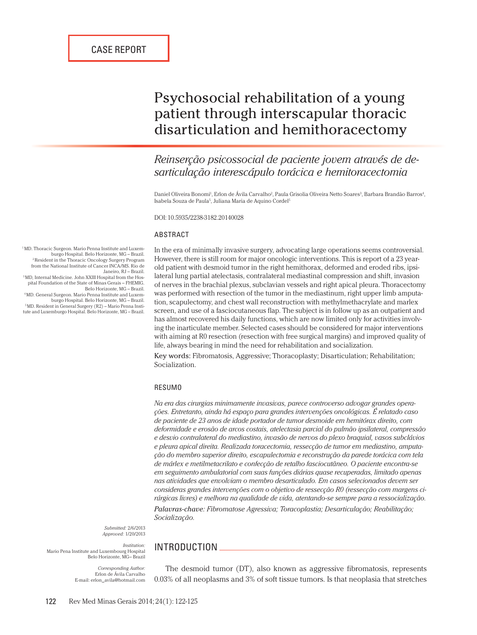# Psychosocial rehabilitation of a young patient through interscapular thoracic disarticulation and hemithoracectomy

## *Reinserção psicossocial de paciente jovem através de desarticulação interescápulo torácica e hemitoracectomia*

Daniel Oliveira Bonomi<sup>1</sup>, Erlon de Ávila Carvalho<sup>2</sup>, Paula Grisolia Oliveira Netto Soares<sup>3</sup>, Barbara Brandão Barros<sup>4</sup>, Isabela Souza de Paula<sup>5</sup>, Juliana Maria de Aquino Cordel<sup>5</sup>

DOI: 10.5935/2238-3182.20140028

#### ABSTRACT

In the era of minimally invasive surgery, advocating large operations seems controversial. However, there is still room for major oncologic interventions. This is report of a 23 yearold patient with desmoid tumor in the right hemithorax, deformed and eroded ribs, ipsilateral lung partial atelectasis, contralateral mediastinal compression and shift, invasion of nerves in the brachial plexus, subclavian vessels and right apical pleura. Thoracectomy was performed with resection of the tumor in the mediastinum, right upper limb amputation, scapulectomy, and chest wall reconstruction with methylmethacrylate and marlex screen, and use of a fasciocutaneous flap. The subject is in follow up as an outpatient and has almost recovered his daily functions, which are now limited only for activities involving the inarticulate member. Selected cases should be considered for major interventions with aiming at R0 resection (resection with free surgical margins) and improved quality of life, always bearing in mind the need for rehabilitation and socialization.

Key words: Fibromatosis, Aggressive; Thoracoplasty; Disarticulation; Rehabilitation; Socialization.

#### RESUMO

*Na era das cirurgias minimamente invasivas, parece controverso advogar grandes operações. Entretanto, ainda há espaço para grandes intervenções oncológicas. É relatado caso de paciente de 23 anos de idade portador de tumor desmoide em hemitórax direito, com deformidade e erosão de arcos costais, atelectasia parcial do pulmão ipsilateral, compressão e desvio contralateral do mediastino, invasão de nervos do plexo braquial, vasos subclávios e pleura apical direita. Realizada toracectomia, ressecção de tumor em mediastino, amputação do membro superior direito, escapulectomia e reconstrução da parede torácica com tela de márlex e metilmetacrilato e confecção de retalho fasciocutâneo. O paciente encontra-se em seguimento ambulatorial com suas funções diárias quase recuperadas, limitado apenas nas atividades que envolviam o membro desarticulado. Em casos selecionados devem ser consideras grandes intervenções com o objetivo de ressecção R0 (ressecção com margens cirúrgicas livres) e melhora na qualidade de vida, atentando-se sempre para a ressocialização. Palavras-chave: Fibromatose Agressiva; Toracoplastia; Desarticulação; Reabilitação; Socialização.*

*Submitted:* 2/6/2013 *Approved:* 1/20/2013

*Institution:* Mario Pena Institute and Luxembourg Hospital Belo Horizonte, MG– Brazil

> *Corresponding Author:* Erlon de Ávila Carvalho E-mail: erlon\_avila@hotmail.com

### INTRODUCTION

The desmoid tumor (DT), also known as aggressive fibromatosis, represents 0.03% of all neoplasms and 3% of soft tissue tumors. Is that neoplasia that stretches

1 MD. Thoracic Surgeon. Mario Penna Institute and Luxem-<sup>2</sup> Resident in the Thoracic Oncology Surgery Program from the National Institute of Cancer INCA/MS. Rio de Janeiro, RJ – Brazil. 3 MD, Internal Medicine. John XXIII Hospital from the Hospital Foundation of the State of Minas Gerais – FHEMIG. Belo Horizonte, MG – Brazil.<br>4 MD. General Surgeon. Mario Penna Institute and Luxemburgo Hospital. Belo Horizonte, MG – Brazil. <sup>5</sup>MD. Resident in General Surgery (R2) – Mario Penna Institute and Luxemburgo Hospital. Belo Horizonte, MG – Brazil.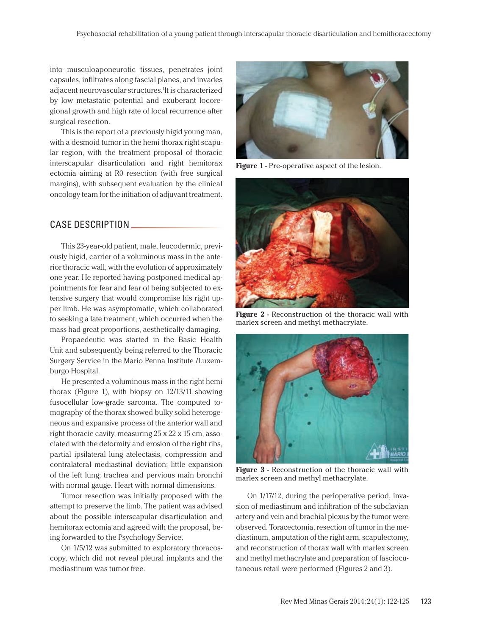into musculoaponeurotic tissues, penetrates joint capsules, infiltrates along fascial planes, and invades adjacent neurovascular structures.1 It is characterized by low metastatic potential and exuberant locoregional growth and high rate of local recurrence after surgical resection.

This is the report of a previously higid young man, with a desmoid tumor in the hemi thorax right scapular region, with the treatment proposal of thoracic interscapular disarticulation and right hemitorax ectomia aiming at R0 resection (with free surgical margins), with subsequent evaluation by the clinical oncology team for the initiation of adjuvant treatment.

#### CASE DESCRIPTION

This 23-year-old patient, male, leucodermic, previously higid, carrier of a voluminous mass in the anterior thoracic wall, with the evolution of approximately one year. He reported having postponed medical appointments for fear and fear of being subjected to extensive surgery that would compromise his right upper limb. He was asymptomatic, which collaborated to seeking a late treatment, which occurred when the mass had great proportions, aesthetically damaging.

Propaedeutic was started in the Basic Health Unit and subsequently being referred to the Thoracic Surgery Service in the Mario Penna Institute /Luxemburgo Hospital.

He presented a voluminous mass in the right hemi thorax (Figure 1), with biopsy on 12/13/11 showing fusocellular low-grade sarcoma. The computed tomography of the thorax showed bulky solid heterogeneous and expansive process of the anterior wall and right thoracic cavity, measuring 25 x 22 x 15 cm, associated with the deformity and erosion of the right ribs, partial ipsilateral lung atelectasis, compression and contralateral mediastinal deviation; little expansion of the left lung; trachea and pervious main bronchi with normal gauge. Heart with normal dimensions.

Tumor resection was initially proposed with the attempt to preserve the limb. The patient was advised about the possible interscapular disarticulation and hemitorax ectomia and agreed with the proposal, being forwarded to the Psychology Service.

On 1/5/12 was submitted to exploratory thoracoscopy, which did not reveal pleural implants and the mediastinum was tumor free.



**Figure 1** - Pre-operative aspect of the lesion.



**Figure 2** - Reconstruction of the thoracic wall with marlex screen and methyl methacrylate.



**Figure 3** - Reconstruction of the thoracic wall with marlex screen and methyl methacrylate.

On 1/17/12, during the perioperative period, invasion of mediastinum and infiltration of the subclavian artery and vein and brachial plexus by the tumor were observed. Toracectomia, resection of tumor in the mediastinum, amputation of the right arm, scapulectomy, and reconstruction of thorax wall with marlex screen and methyl methacrylate and preparation of fasciocutaneous retail were performed (Figures 2 and 3).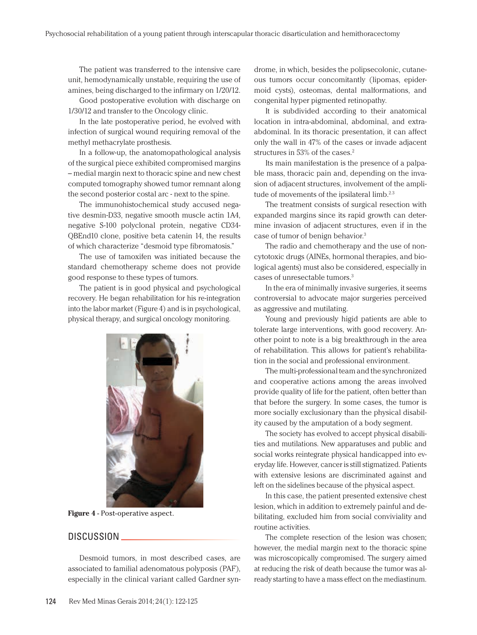The patient was transferred to the intensive care unit, hemodynamically unstable, requiring the use of amines, being discharged to the infirmary on 1/20/12.

Good postoperative evolution with discharge on 1/30/12 and transfer to the Oncology clinic.

In the late postoperative period, he evolved with infection of surgical wound requiring removal of the methyl methacrylate prosthesis.

In a follow-up, the anatomopathological analysis of the surgical piece exhibited compromised margins – medial margin next to thoracic spine and new chest computed tomography showed tumor remnant along the second posterior costal arc - next to the spine.

The immunohistochemical study accused negative desmin-D33, negative smooth muscle actin 1A4, negative S-100 polyclonal protein, negative CD34- QBEnd10 clone, positive beta catenin 14, the results of which characterize "desmoid type fibromatosis."

The use of tamoxifen was initiated because the standard chemotherapy scheme does not provide good response to these types of tumors.

The patient is in good physical and psychological recovery. He began rehabilitation for his re-integration into the labor market (Figure 4) and is in psychological, physical therapy, and surgical oncology monitoring.



**Figure 4** - Post-operative aspect.

#### DISCUSSION  $\_\_$

Desmoid tumors, in most described cases, are associated to familial adenomatous polyposis (PAF), especially in the clinical variant called Gardner syndrome, in which, besides the polipsecolonic, cutaneous tumors occur concomitantly (lipomas, epidermoid cysts), osteomas, dental malformations, and congenital hyper pigmented retinopathy.

It is subdivided according to their anatomical location in intra-abdominal, abdominal, and extraabdominal. In its thoracic presentation, it can affect only the wall in 47% of the cases or invade adjacent structures in 53% of the cases.<sup>2</sup>

Its main manifestation is the presence of a palpable mass, thoracic pain and, depending on the invasion of adjacent structures, involvement of the amplitude of movements of the ipsilateral limb.<sup>2.3</sup>

The treatment consists of surgical resection with expanded margins since its rapid growth can determine invasion of adjacent structures, even if in the case of tumor of benign behavior.3

The radio and chemotherapy and the use of noncytotoxic drugs (AINEs, hormonal therapies, and biological agents) must also be considered, especially in cases of unresectable tumors.3

In the era of minimally invasive surgeries, it seems controversial to advocate major surgeries perceived as aggressive and mutilating.

Young and previously higid patients are able to tolerate large interventions, with good recovery. Another point to note is a big breakthrough in the area of rehabilitation. This allows for patient's rehabilitation in the social and professional environment.

The multi-professional team and the synchronized and cooperative actions among the areas involved provide quality of life for the patient, often better than that before the surgery. In some cases, the tumor is more socially exclusionary than the physical disability caused by the amputation of a body segment.

The society has evolved to accept physical disabilities and mutilations. New apparatuses and public and social works reintegrate physical handicapped into everyday life. However, cancer is still stigmatized. Patients with extensive lesions are discriminated against and left on the sidelines because of the physical aspect.

In this case, the patient presented extensive chest lesion, which in addition to extremely painful and debilitating, excluded him from social conviviality and routine activities.

The complete resection of the lesion was chosen; however, the medial margin next to the thoracic spine was microscopically compromised. The surgery aimed at reducing the risk of death because the tumor was already starting to have a mass effect on the mediastinum.